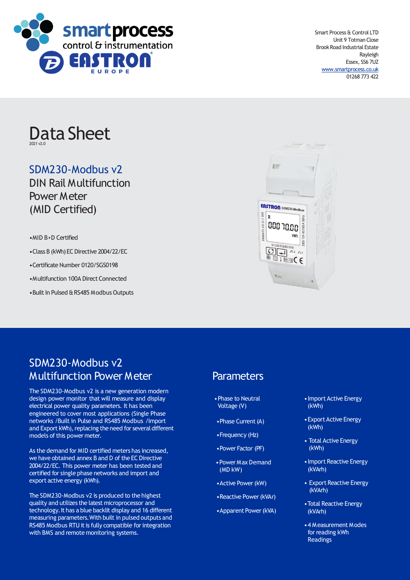

Smart Process & Control LTD Unit 9 Totman Close Brook Road Industrial Estate Rayleigh Essex, SS6 7UZ [www.smartprocess.co.uk](http://www.smartprocess.co.uk/) 01268 773 422

# Data Sheet 2021 v2.0

# SDM230-Modbus v2

DIN Rail Multifunction Power Meter (MID Certified)

•MID B+D Certified

•Class B (kWh) EC Directive 2004/22/EC

•Certificate Number 0120/SGS0198

•Multifunction 100A Direct Connected

• Built In Pulsed & RS485 Modbus Outputs



# SDM230-Modbus v2 Multifunction Power Meter

The SDM230-Modbus v2 is a new generation modern design power monitor that will measure and display electrical power quality parameters. It has been engineered to cover most applications (Single Phase networks /Built in Pulse and RS485 Modbus /Import and Export kWh), replacing the need for several different models of this power meter.

As the demand for MID certified meters has increased, we have obtained annex B and D of the EC Directive 2004/22/EC. This power meter has been tested and certified for single phase networks and import and export active energy (kWh).

The SDM230-Modbus v2 is produced to the highest quality and utilizes the latest microprocessor and technology.It has a blue backlit display and 16 different measuring parameters.With built in pulsed outputs and RS485 Modbus RTU it is fully compatible for integration with BMS and remote monitoring systems.

# **Parameters**

- •Phase to Neutral Voltage (V)
- Phase Current (A)
- •Frequency (Hz)
- •Power Factor (PF)
- •Power Max Demand (MD kW)
- Active Power (kW)
- •Reactive Power(kVAr)
- Apparent Power (kVA)
- •Import Active Energy (kWh)
- •Export Active Energy (kWh)
- Total Active Energy (kWh)
- •Import Reactive Energy (kVArh)
- Export Reactive Energy (kVArh)
- •Total Reactive Energy (kVArh)
- •4 Measurement Modes for reading kWh Readings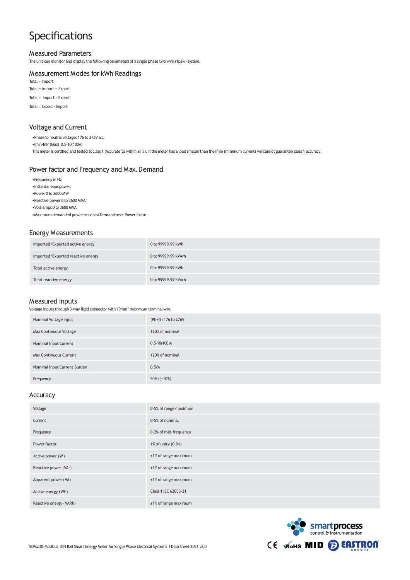# Specifications

## Measured Parameters

The unit can monitor and display the following parameters of a single phase two wire (1p2w) system.

#### Measurement Modes for kWh Readings

Total = Import

Total = Import + Export

Total = Import - Export

Total = Export-Import

## Voltage and Current

•Phase to neutral voltages 176 to 276V a.c.

•Imin-Iref(Max) 0.5-10(100A)

This meter is certified and tested at class 1 (Accurate to within ±1%). If the meter has a load smaller than the Imin (minimum current) we cannot guarantee class 1 accuracy.

#### Power factor and Frequency and Max. Demand

- •Frequency in Hz
- Instantaneous power:
- •Power 0 to 3600 MW
- •Reactive power 0 to 3600 MVAr
- •Volt-amps 0 to 3600 MVA

•Maximum demanded power since last Demand reset Power factor

### Energy Measurements

| Imported/Exported active energy   | 0 to 99999.99 kWh   |
|-----------------------------------|---------------------|
| Imported/Exported reactive energy | 0 to 99999.99 kVArh |
| Total active energy               | 0 to 99999.99 kWh   |
| Total reactive energy             | 0 to 99999.99 kVArh |

#### Measured Inputs

Voltage inputs through 3-way fixed connector with 19mm² maximum terminal wire.

| Nominal Voltage Input         | (Ph+N) 176 to 276V |
|-------------------------------|--------------------|
| Max Continuous Voltage        | 120% of nominal    |
| Nominal Input Current         | $0.5 - 10(100)$ A  |
| <b>Max Continuous Current</b> | 120% of nominal    |
| Nominal Input Current Burden  | 0.5VA              |
| Frequency                     | $50Hz(\pm 10%)$    |

## Accuracy

| Voltage                | $0.5%$ of range maximum |
|------------------------|-------------------------|
| Current                | $0.5%$ of nominal       |
| Frequency              | $0.2%$ of mid-frequency |
| Power factor           | 1% of unity (0.01)      |
| Active power (W)       | ±1% of range maximum    |
| Reactive power (VAr)   | ±1% of range maximum    |
| Apparent power (VA)    | ±1% of range maximum    |
| Active energy (Wh)     | Class 1 IEC 62053-21    |
| Reactive energy (VARh) | ±1% of range maximum    |

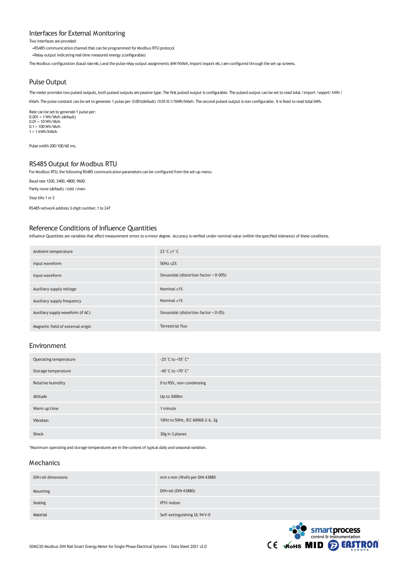#### Interfaces for External Monitoring

Two interfaces are provided:

•RS485 communication channel that can be programmed for Modbus RTU protocol

•Relay output indicating real-time measured energy.(configurable)

The Modbus configuration (baud rate etc.) and the pulse relay output assignments (kW/kVArh, import/export etc.) are configured through the set-up screens.

## Pulse Output

The meter provides two pulsed outputs, both pulsed outputs are passive type. The first pulsed output is configurable. The pulsed output can be set to read total /import / export/ kWh /

kVarh.The pulse constant can be setto generate 1 pulse per: 0.001(default) /0.01/0.1/1kWh/kVarh. The second pulsed output is non-configurable. Itis fixed to read total kWh.

Rate can be set to generate 1 pulse per:<br>0.001 = 1 Wh/VArh (default) 0.01 = 10 Wh/VArh 0.1 = 100 Wh/VArh  $1 = 1$  kWh/kVArh

Pulse width 200/100/60 ms.

### RS485 Output for Modbus RTU

For Modbus RTU, the following RS485 communication parameters can be configured from the set-up menu:

Baud rate 1200, 2400, 4800, 9600.

Parity none (default) /odd /even

Stop bits 1 or 2

RS485 network address 3-digit number, 1 to 247

#### Reference Conditions of Influence Quantities

Influence Quantities are variables that affect measurement errors to a minor degree. Accuracy is verified under nominal value (within the specified tolerance) ofthese conditions.

| Ambient temperature               | $23^\circ C \pm 1^\circ C$                |
|-----------------------------------|-------------------------------------------|
| Input waveform                    | $50Hz \pm 2%$                             |
| Input waveform                    | Sinusoidal (distortion factor < $0.005$ ) |
| Auxiliary supply voltage          | Nominal $±1\%$                            |
| Auxiliary supply frequency        | Nominal $±1\%$                            |
| Auxiliary supply waveform (if AC) | Sinusoidal (distortion factor $< 0.05$ )  |
| Magnetic field of external origin | Terrestrial flux                          |

#### Environment

| Operating temperature | -25 $^{\circ}$ C to +55 $^{\circ}$ C* |
|-----------------------|---------------------------------------|
| Storage temperature   | -40°C to +70°C*                       |
| Relative humidity     | 0 to 95%, non-condensing              |
| Altitude              | Up to 3000m                           |
| Warm up time          | 1 minute                              |
| Vibration             | 10Hz to 50Hz, IEC 60068-2-6, 2g       |
| Shock                 | 30g in 3 planes                       |

\*Maximum operating and storage temperatures are in the context of typical daily and seasonal variation.

## Mechanics

| DIN rail dimensions | mm x mm (WxH) per DIN 43880  |
|---------------------|------------------------------|
| Mounting            | DIN rail (DIN 43880)         |
| Sealing             | IP51 indoor                  |
| Material            | Self-extinguishing UL 94 V-0 |